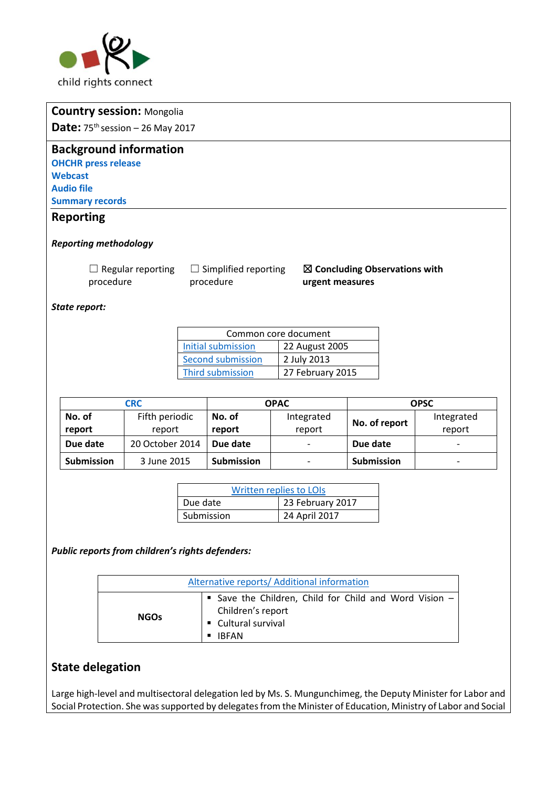

|                                              | <b>Country session: Mongolia</b> |          |                             |                                   |                                          |             |
|----------------------------------------------|----------------------------------|----------|-----------------------------|-----------------------------------|------------------------------------------|-------------|
| <b>Date:</b> $75^{th}$ session - 26 May 2017 |                                  |          |                             |                                   |                                          |             |
| <b>Background information</b>                |                                  |          |                             |                                   |                                          |             |
|                                              |                                  |          |                             |                                   |                                          |             |
| <b>OHCHR press release</b><br><b>Webcast</b> |                                  |          |                             |                                   |                                          |             |
| <b>Audio file</b>                            |                                  |          |                             |                                   |                                          |             |
| <b>Summary records</b>                       |                                  |          |                             |                                   |                                          |             |
|                                              |                                  |          |                             |                                   |                                          |             |
| <b>Reporting</b>                             |                                  |          |                             |                                   |                                          |             |
| <b>Reporting methodology</b>                 |                                  |          |                             |                                   |                                          |             |
|                                              | $\Box$ Regular reporting         |          | $\Box$ Simplified reporting |                                   | $\boxtimes$ Concluding Observations with |             |
| procedure                                    |                                  |          | procedure                   | urgent measures                   |                                          |             |
|                                              |                                  |          |                             |                                   |                                          |             |
| State report:                                |                                  |          |                             |                                   |                                          |             |
|                                              |                                  |          |                             |                                   |                                          |             |
|                                              |                                  |          |                             |                                   |                                          |             |
|                                              |                                  |          |                             | Common core document              |                                          |             |
|                                              |                                  |          | <b>Initial submission</b>   | 22 August 2005                    |                                          |             |
|                                              |                                  |          | <b>Second submission</b>    | 2 July 2013                       |                                          |             |
|                                              |                                  |          | Third submission            | 27 February 2015                  |                                          |             |
|                                              |                                  |          |                             |                                   |                                          |             |
|                                              | <b>CRC</b>                       |          |                             | <b>OPAC</b>                       |                                          | <b>OPSC</b> |
| No. of                                       | Fifth periodic                   |          | No. of                      | Integrated                        |                                          | Integrated  |
| report                                       | report                           |          | report                      | report                            | No. of report                            | report      |
| Due date                                     | 20 October 2014                  |          | Due date                    |                                   | Due date                                 |             |
| <b>Submission</b>                            | 3 June 2015                      |          | Submission                  |                                   | <b>Submission</b>                        |             |
|                                              |                                  |          |                             |                                   |                                          |             |
|                                              |                                  |          |                             | Written replies to LOIs           |                                          |             |
|                                              |                                  | Due date |                             | 23 February 2017<br>24 April 2017 |                                          |             |

*Public reports from children's rights defenders:*

| Alternative reports/ Additional information |                                                                                                                |  |  |  |  |  |
|---------------------------------------------|----------------------------------------------------------------------------------------------------------------|--|--|--|--|--|
| <b>NGOs</b>                                 | Save the Children, Child for Child and Word Vision -<br>Children's report<br>Cultural survival<br><b>IRFAN</b> |  |  |  |  |  |

# **State delegation**

Large high-level and multisectoral delegation led by Ms. S. Mungunchimeg, the Deputy Minister for Labor and Social Protection. She was supported by delegates from the Minister of Education, Ministry of Labor and Social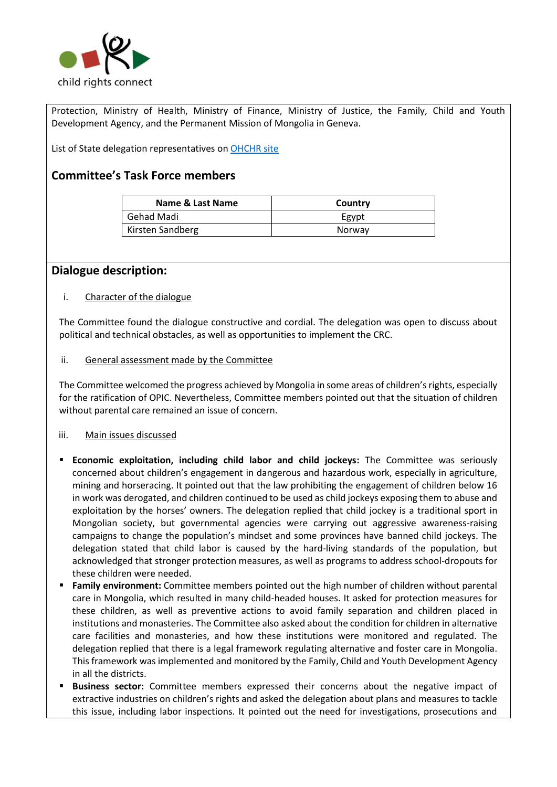

Protection, Ministry of Health, Ministry of Finance, Ministry of Justice, the Family, Child and Youth Development Agency, and the Permanent Mission of Mongolia in Geneva.

List of State delegation representatives on [OHCHR site](http://tbinternet.ohchr.org/Treaties/CRC/Shared%20Documents/MNG/INT_CRC_LOP_MNG_27481_E.pdf) 

### **Committee's Task Force members**

| Name & Last Name | Country |
|------------------|---------|
| Gehad Madi       | Egypt   |
| Kirsten Sandberg | Norway  |

### **Dialogue description:**

#### i. Character of the dialogue

The Committee found the dialogue constructive and cordial. The delegation was open to discuss about political and technical obstacles, as well as opportunities to implement the CRC.

#### ii. General assessment made by the Committee

The Committee welcomed the progress achieved by Mongolia in some areas of children's rights, especially for the ratification of OPIC. Nevertheless, Committee members pointed out that the situation of children without parental care remained an issue of concern.

#### iii. Main issues discussed

- **Economic exploitation, including child labor and child jockeys:** The Committee was seriously concerned about children's engagement in dangerous and hazardous work, especially in agriculture, mining and horseracing. It pointed out that the law prohibiting the engagement of children below 16 in work was derogated, and children continued to be used as child jockeys exposing them to abuse and exploitation by the horses' owners. The delegation replied that child jockey is a traditional sport in Mongolian society, but governmental agencies were carrying out aggressive awareness-raising campaigns to change the population's mindset and some provinces have banned child jockeys. The delegation stated that child labor is caused by the hard-living standards of the population, but acknowledged that stronger protection measures, as well as programs to address school-dropouts for these children were needed.
- **Family environment:** Committee members pointed out the high number of children without parental care in Mongolia, which resulted in many child-headed houses. It asked for protection measures for these children, as well as preventive actions to avoid family separation and children placed in institutions and monasteries. The Committee also asked about the condition for children in alternative care facilities and monasteries, and how these institutions were monitored and regulated. The delegation replied that there is a legal framework regulating alternative and foster care in Mongolia. This framework was implemented and monitored by the Family, Child and Youth Development Agency in all the districts.
- **Business sector:** Committee members expressed their concerns about the negative impact of extractive industries on children's rights and asked the delegation about plans and measures to tackle this issue, including labor inspections. It pointed out the need for investigations, prosecutions and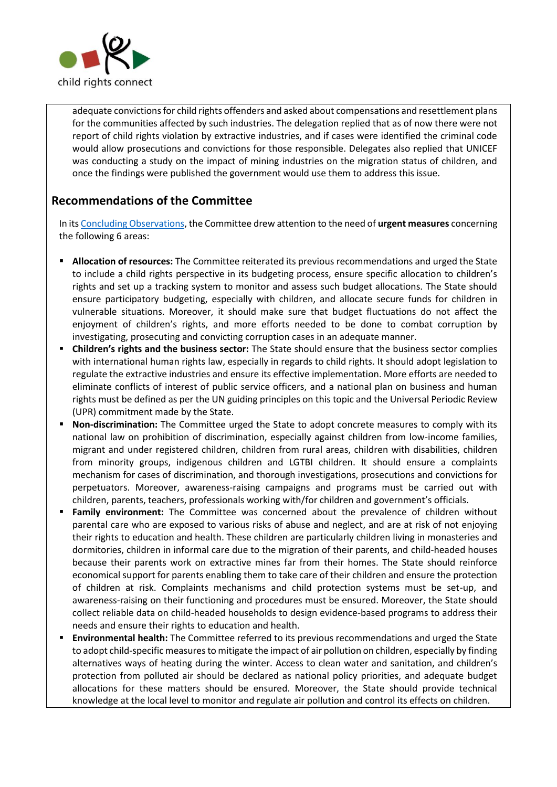

adequate convictions for child rights offenders and asked about compensations and resettlement plans for the communities affected by such industries. The delegation replied that as of now there were not report of child rights violation by extractive industries, and if cases were identified the criminal code would allow prosecutions and convictions for those responsible. Delegates also replied that UNICEF was conducting a study on the impact of mining industries on the migration status of children, and once the findings were published the government would use them to address this issue.

# **Recommendations of the Committee**

In it[s Concluding Observations,](http://tbinternet.ohchr.org/_layouts/treatybodyexternal/Download.aspx?symbolno=CRC%2fC%2fMNG%2fCO%2f5&Lang=en) the Committee drew attention to the need of **urgent measures** concerning the following 6 areas:

- **Allocation of resources:** The Committee reiterated its previous recommendations and urged the State to include a child rights perspective in its budgeting process, ensure specific allocation to children's rights and set up a tracking system to monitor and assess such budget allocations. The State should ensure participatory budgeting, especially with children, and allocate secure funds for children in vulnerable situations. Moreover, it should make sure that budget fluctuations do not affect the enjoyment of children's rights, and more efforts needed to be done to combat corruption by investigating, prosecuting and convicting corruption cases in an adequate manner.
- **Children's rights and the business sector:** The State should ensure that the business sector complies with international human rights law, especially in regards to child rights. It should adopt legislation to regulate the extractive industries and ensure its effective implementation. More efforts are needed to eliminate conflicts of interest of public service officers, and a national plan on business and human rights must be defined as per the UN guiding principles on this topic and the Universal Periodic Review (UPR) commitment made by the State.
- **Non-discrimination:** The Committee urged the State to adopt concrete measures to comply with its national law on prohibition of discrimination, especially against children from low-income families, migrant and under registered children, children from rural areas, children with disabilities, children from minority groups, indigenous children and LGTBI children. It should ensure a complaints mechanism for cases of discrimination, and thorough investigations, prosecutions and convictions for perpetuators. Moreover, awareness-raising campaigns and programs must be carried out with children, parents, teachers, professionals working with/for children and government's officials.
- Family environment: The Committee was concerned about the prevalence of children without parental care who are exposed to various risks of abuse and neglect, and are at risk of not enjoying their rights to education and health. These children are particularly children living in monasteries and dormitories, children in informal care due to the migration of their parents, and child-headed houses because their parents work on extractive mines far from their homes. The State should reinforce economical support for parents enabling them to take care of their children and ensure the protection of children at risk. Complaints mechanisms and child protection systems must be set-up, and awareness-raising on their functioning and procedures must be ensured. Moreover, the State should collect reliable data on child-headed households to design evidence-based programs to address their needs and ensure their rights to education and health.
- **Environmental health:** The Committee referred to its previous recommendations and urged the State to adopt child-specific measures to mitigate the impact of air pollution on children, especially by finding alternatives ways of heating during the winter. Access to clean water and sanitation, and children's protection from polluted air should be declared as national policy priorities, and adequate budget allocations for these matters should be ensured. Moreover, the State should provide technical knowledge at the local level to monitor and regulate air pollution and control its effects on children.